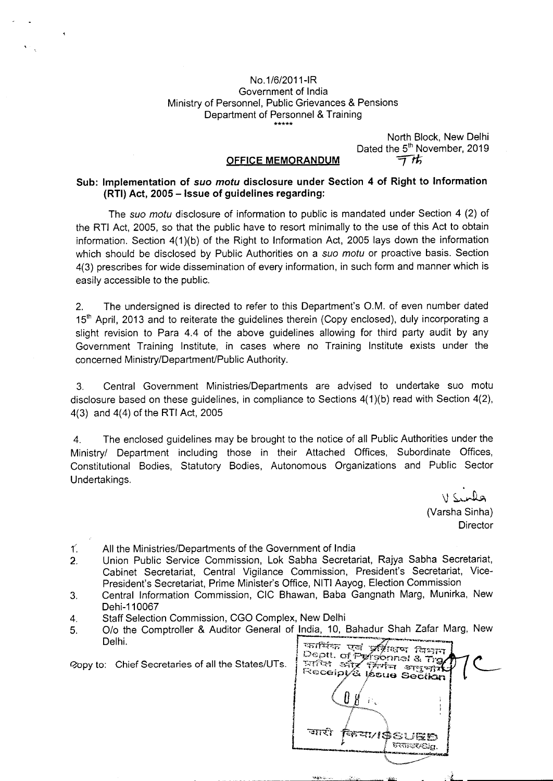#### No. 1/6/2011-IR Government of India Ministry of Personnel, Public Grievances & Pensions Department of Personnel & Training \*\*\*\*\*

North Block, New Delhi Dated the 5<sup>th</sup> November, 2019 亓坊

#### **OFFICE MEMORANDUM**

#### **Sub: Implementation of suo motu disclosure under Section 4 of Right to Information (RTI) Act, 2005 — Issue of guidelines regarding:**

The suo motu disclosure of information to public is mandated under Section 4 (2) of the RTI Act, 2005, so that the public have to resort minimally to the use of this Act to obtain information. Section 4(1)(b) of the Right to Information Act, 2005 lays down the information which should be disclosed by Public Authorities on a suo motu or proactive basis. Section 4(3) prescribes for wide dissemination of every information, in such form and manner which is easily accessible to the public.

2. The undersigned is directed to refer to this Department's O.M. of even number dated 15<sup>th</sup> April, 2013 and to reiterate the guidelines therein (Copy enclosed), duly incorporating a slight revision to Para 4.4 of the above guidelines allowing for third party audit by any Government Training Institute, in cases where no Training Institute exists under the concerned Ministry/Department/Public Authority.

3. Central Government Ministries/Departments are advised to undertake suo motu disclosure based on these guidelines, in compliance to Sections 4(1)(b) read with Section 4(2), 4(3) and 4(4) of the RTl Act, 2005

4. The enclosed guidelines may be brought to the notice of all Public Authorities under the Ministry! Department including those in their Attached Offices, Subordinate Offices, Constitutional Bodies, Statutory Bodies, Autonomous Organizations and Public Sector Undertakings.

> $V$  Sinds (Varsha Sinha) **Director**

All the Ministries/Departments of the Government of India Ľ.

2. Union Public Service Commission, Lok Sabha Secretariat, Rajya Sabha Secretariat, Cabinet Secretariat, Central Vigilance Commission, President's Secretariat, Vice-President's Secretariat, Prime Minister's Office, NITI Aayog, Election Commission

3. Central Information Commission, CIC Bhawan, Baba Gangnath Marg, Munirka, New Dehi-1 10067

- 4. Staff Selection Commission, CGO Complex, New Delhi
- 5. O/o the Comptroller & Auditor General of India, 10, Bahadur Shah Zafar Marg, New Delhi.

wijk c

(opy to: Chief Secretaries of all the States/UTs.

| कार्मिक एवं प्रशिक्षण विभाग<br>Deptt. of Pyrsonnel 8. Tra<br>प्राप्ति और सिर्गम अनुभार<br>Receipt/& Issue Section |             |
|-------------------------------------------------------------------------------------------------------------------|-------------|
|                                                                                                                   |             |
| জাহী<br><b>FRAMOSUED</b>                                                                                          | SUTINEUSIG. |
|                                                                                                                   |             |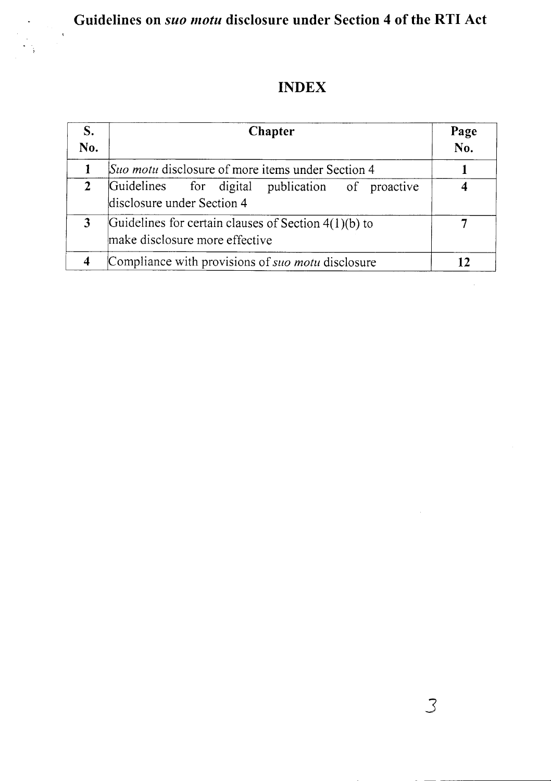Guidelines on *suo motu* disclosure under Section 4 of the RTI Act

 $\hat{\mathbf{v}}$ 

# **INDEX**

| S.<br>No.      | Chapter                                                                                  | Page<br>No. |
|----------------|------------------------------------------------------------------------------------------|-------------|
| 1              | Suo motu disclosure of more items under Section 4                                        |             |
| 2 <sup>1</sup> | Guidelines for digital publication of proactive<br>disclosure under Section 4            |             |
| 3              | Guidelines for certain clauses of Section $4(1)(b)$ to<br>make disclosure more effective |             |
|                | Compliance with provisions of suo motu disclosure                                        | 12          |

3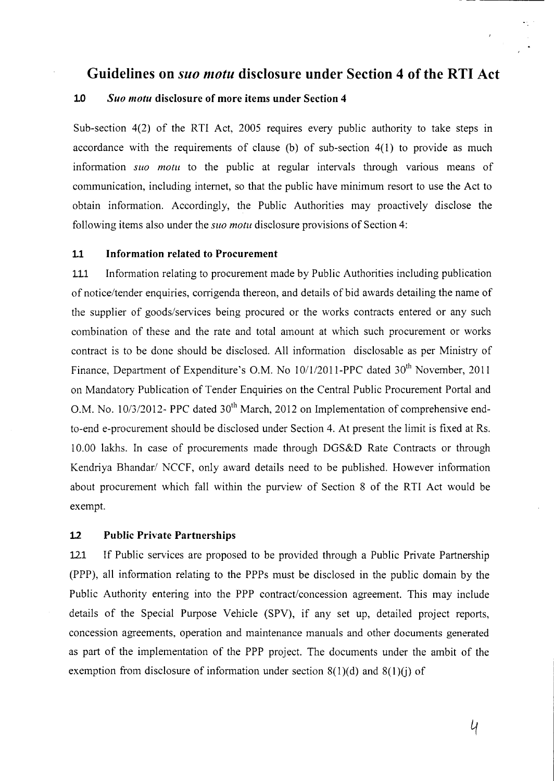### **Guidelines on** *siio niotu* **disclosure under Section 4 of the RTI Act**

#### **1.0** *Suo inotu* **disclosure of more items under Section 4**

Sub-section 4(2) of the RTI Act, 2005 requires every public authority to take steps in accordance with the requirements of clause (b) of sub-section 4(1) to provide as much information *sito motu* to the public at regular intervals through various means of communication, including internet, so that the public have minimum resort to use the Act to obtain information. Accordingly, the Public Authorities may proactively disclose the following items also under the *suo motu* disclosure provisions of Section 4:

#### **Li Information related to Procurement**

LU Information relating to procurement made by Public Authorities including publication of notice/tender enquiries, corrigenda thereon, and details of bid awards detailing the name of the supplier of goods/services being procured or the works contracts entered or any such combination of these and the rate and total amount at which such procurement or works contract is to be done should be disclosed. All information disciosable as per Ministry of Finance, Department of Expenditure's O.M. No 10/1/2011-PPC dated 30<sup>th</sup> November, 2011 on Mandatory Publication of Tender Enquiries on the Central Public Procurement Portal and O.M. No. 10/3/2012- PPC dated 30<sup>th</sup> March, 2012 on Implementation of comprehensive endto-end e-procurement should be disclosed under Section 4. At present the limit is fixed at Rs. 10.00 lakhs. In case of procurements made through DGS&D Rate Contracts or through Kendriya Bhandar/ NCCF, only award details need to be published. However information about procurement which fall within the purview of Section 8 of the RTI Act would be exempt.

#### **1.2 Public Private Partnerships**

121 If Public services are proposed to be provided through a Public Private Partnership (PPP), all information relating to the PPPs must be disclosed in the public domain by the Public Authority entering into the PPP contract/concession agreement. This may include details of the Special Purpose Vehicle (SPy), if any set up, detailed project reports, concession agreements, operation and maintenance manuals and other documents generated as part of the implementation of the PPP project. The documents under the ambit of the exemption from disclosure of information under section  $8(1)(d)$  and  $8(1)(j)$  of

*LI*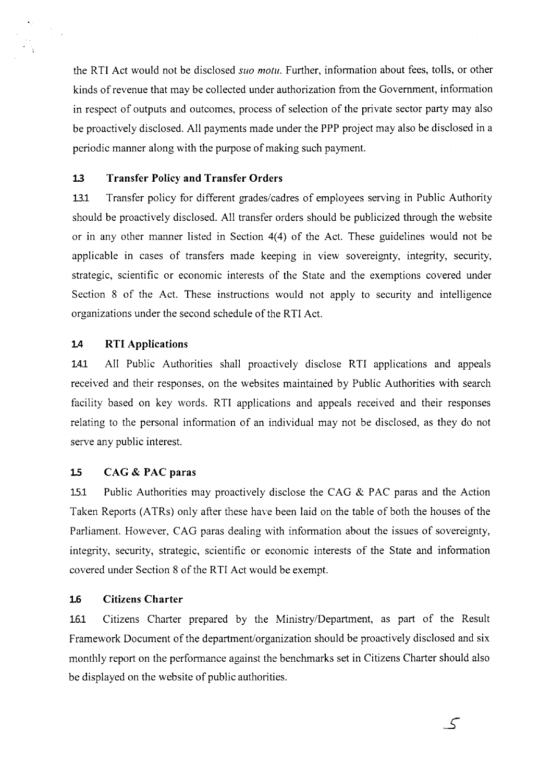the RTI Act would not be disclosed *suo motu*. Further, information about fees, tolls, or other kinds of revenue that may be collected under authorization from the Government, information in respect of outputs and outcomes, process of selection of the private sector party may also be proactively disclosed. All payments made under the PPP project may also be disclosed in a periodic manner along with the purpose of making such payment.

#### **1.3 Transfer Policy and Transfer Orders**

13.1 Transfer policy for different grades/cadres of employees serving in Public Authority should be proactively disclosed. All transfer orders should be publicized through the website or in any other manner listed in Section 4(4) of the Act. These guidelines would not be applicable in cases of transfers made keeping in view sovereignty, integrity, security, strategic, scientific or economic interests of the State and the exemptions covered under Section 8 of the Act. These instructions would not apply to security and intelligence organizations under the second schedule of the RTI Act.

#### **1.4 RTI Applications**

14.1 All Public Authorities shall proactively disclose RTI applications and appeals received and their responses, on the websites maintained by Public Authorities with search facility based on key words. RTI applications and appeals received and their responses relating to the personal information of an individual may not be disclosed, as they do not serve any public interest.

#### **1.5 CAG** & **PAC paras**

15.1 Public Authorities may proactively disclose the CAG & PAC paras and the Action Taken Reports (ATRs) only after these have been laid on the table of both the houses of the Parliament. However, CAG paras dealing with information about the issues of sovereignty, integrity, security, strategic, scientific or economic interests of the State and information covered under Section 8 of the RTI Act would be exempt.

#### **16 Citizens Charter**

16.1 Citizens Charter prepared by the Ministry/Department, as part of the Result Framework Document of the department/organization should be proactively disclosed and six monthly report on the performance against the benchmarks set in Citizens Charter should also be displayed on the website of public authorities.

 $\mathcal{S}$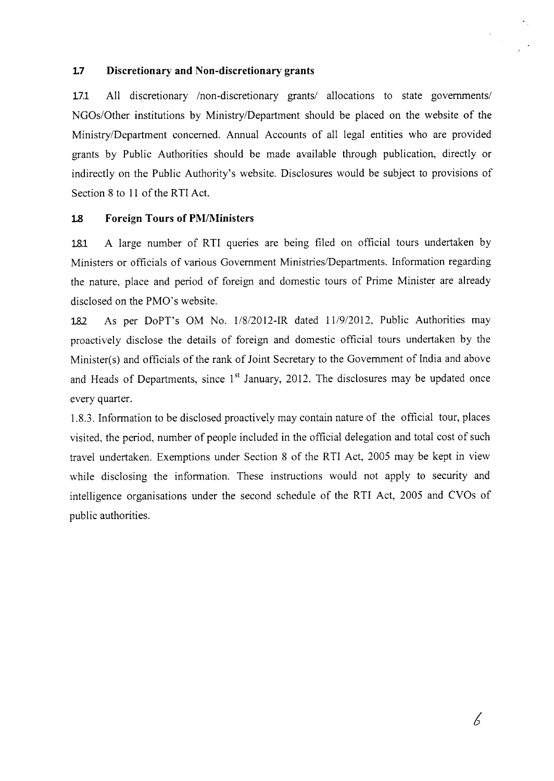#### **L7 Discretionary and Non-discretionary grants**

**17.1** All discretionary /non-discretionary grants/ allocations to state governments/ NGOs/Other institutions by Ministry/Department should be placed on the website of the Ministry/Department concerned. Annual Accounts of all legal entities who are provided grants by Public Authorities should be made available through publication, directly or indirectly on the Public Authority's website. Disclosures would be subject to provisions of Section 8 to 11 of the RTI Act.

### **12 Foreign Tours of PM/Ministers**

12.1 A large number of RTI queries are being filed on official tours undertaken by Ministers or officials of various Government Ministries/Departments. Information regarding the nature, place and period of foreign and domestic tours of Prime Minister are already disclosed on the PMO's website.

18? As per DoPT's OM No. 1/8/20 12-IR dated 11/9/2012, Public Authorities may proactively disclose the details of foreign and domestic official tours undertaken by the Minister(s) and officials of the rank of Joint Secretary to the Government of India and above and Heads of Departments, since  $1<sup>st</sup>$  January, 2012. The disclosures may be updated once every quarter.

*1.8.3.* Information to be disclosed proactively may contain nature of the official tour, places visited, the period, number of people included in the official delegation and total cost of such travel undertaken. Exemptions under Section 8 of the RTI Act, 2005 may be kept in view while disclosing the information. These instructions would not apply to security and intelligence organisations under the second schedule of the RTI Act, 2005 and CVOs of public authorities.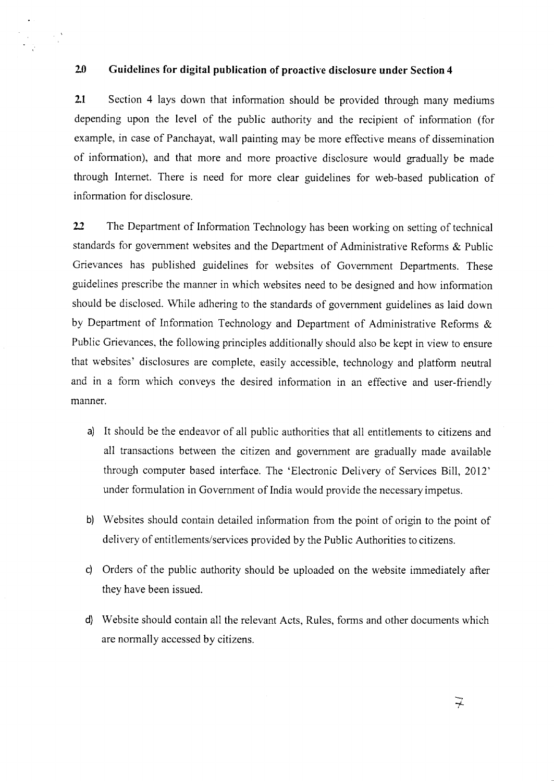#### **2.0 Guidelines for digital publication of proactive disclosure under Section 4**

**2.1** Section 4 lays down that information should be provided through many mediums depending upon the level of the public authority and the recipient of information (for example, in case of Panchayat, wall painting may be more effective means of dissemination of information), and that more and more proactive disclosure would gradually be made through Internet. There is need for more clear guidelines for web-based publication of information for disclosure.

22 The Department of Information Technology has been working on setting of technical standards for government websites and the Department of Administrative Reforms & Public Grievances has published guidelines for websites of Government Departments. These guidelines prescribe the marmer in which websites need to be designed and how information should be disclosed. While adhering to the standards of government guidelines as laid down by Department of Information Technology and Department of Administrative Reforms & Public Grievances, the following principles additionally should also be kept in view to ensure that websites' disclosures are complete, easily accessible, technology and platform neutral and in a form which conveys the desired information in an effective and user-friendly manner.

- a) It should be the endeavor of all public authorities that all entitlements to citizens and all transactions between the citizen and government are gradually made available through computer based interface. The 'Electronic Delivery of Services Bill, 2012' under formulation in Government of India would provide the necessary impetus.
- b) Websites should contain detailed information from the point of origin to the point of delivery of entitlements/services provided by the Public Authorities to citizens.
- c) Orders of the public authority should be uploaded on the website immediately after they have been issued.
- d) Website should contain all the relevant Acts, Rules, forms and other documents which are normally accessed by citizens.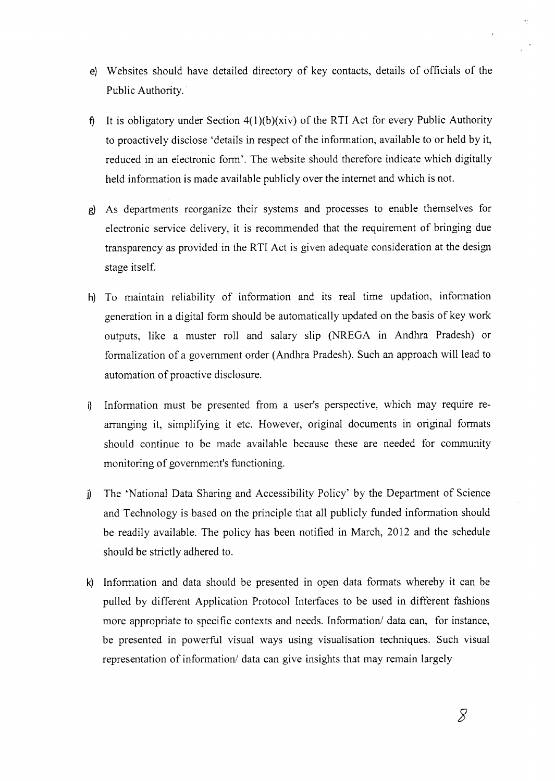- e) Websites should have detailed directory of key contacts, details of officials of the Public Authority.
- f) It is obligatory under Section  $4(1)(b)(xiv)$  of the RTI Act for every Public Authority to proactively disclose 'details in respect of the information, available to or held by it, reduced in an electronic form'. The website should therefore indicate which digitally held information is made available publicly over the internet and which is not.
- g) As departments reorganize their systems and processes to enable themselves for electronic service delivery, it is recommended that the requirement of bringing due transparency as provided in the RTI Act is given adequate consideration at the design stage itself.
- h) To maintain reliability of information and its real time updation, information generation in a digital form should be automatically updated on the basis of key work outputs, like a muster roll and salary slip (NREGA in Andhra Pradesh) or formalization of a government order (Andhra Pradesh). Such an approach will lead to automation of proactive disclosure.
- i) Information must be presented from a user's perspective, which may require rearranging it, simplifying it etc. However, original documents in original formats should continue to be made available because these are needed for community monitoring of government's functioning.
- I) The 'National Data Sharing and Accessibility Policy' by the Department of Science and Technology is based on the principle that all publicly funded information should be readily available. The policy has been notified in March, 2012 and the schedule should be strictly adhered to.
- k) Information and data should be presented in open data formats whereby it can be pulled by different Application Protocol Interfaces to be used in different fashions more appropriate to specific contexts and needs. Information/ data can, for instance, be presented in powerful visual ways using visualisation techniques. Such visual representation of information/ data can give insights that may remain largely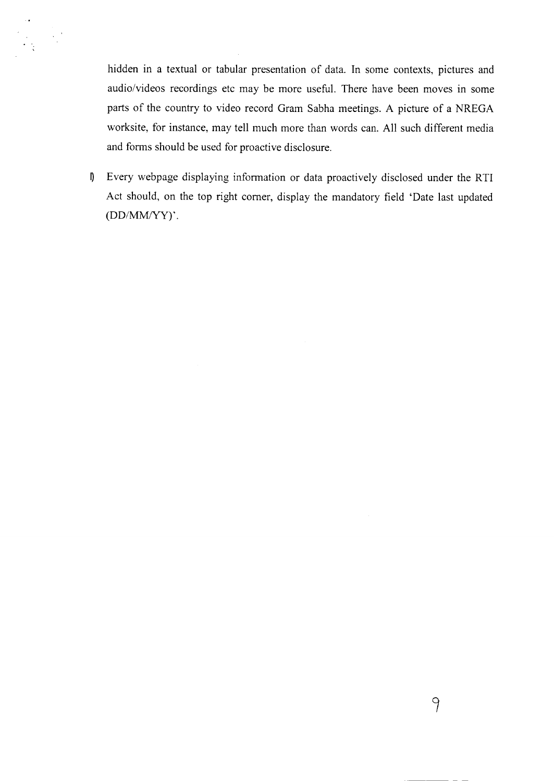hidden in a textual or tabular presentation of data. In some contexts, pictures and audio/videos recordings etc may be more useful. There have been moves in some parts of the country to video record Gram Sabha meetings. A picture of a NREGA worksite, for instance, may tell much more than words can. All such different media and forms should be used for proactive disclosure.

I) Every webpage displaying information or data proactively disclosed under the RTI Act should, on the top right corner, display the mandatory field 'Date last updated (DD/MM/YY)'.

9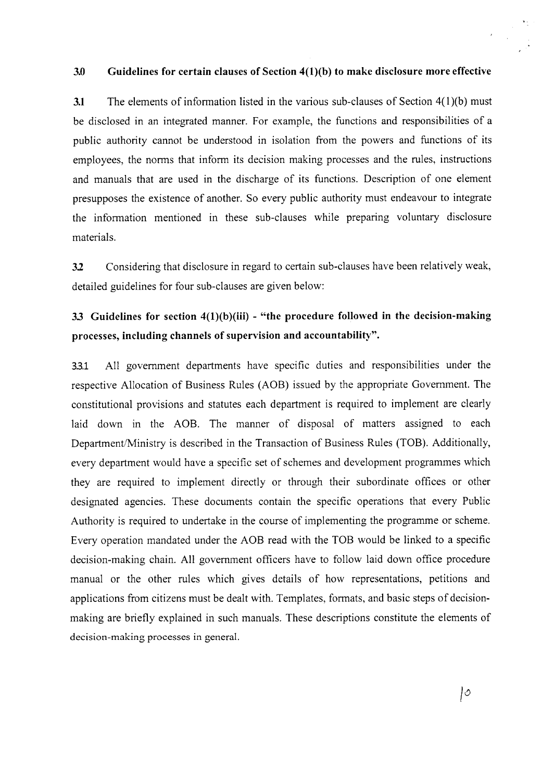#### **3.0 Guidelines for certain clauses of Section 4(1)(b) to make disclosure more effective**

**3.1** The elements of information listed in the various sub-clauses of Section 4(1)(b) must be disclosed in an integrated manner. For example, the functions and responsibilities of a public authority cannot be understood in isolation from the powers and functions of its employees, the norms that inform its decision making processes and the rules, instructions and manuals that are used in the discharge of its functions. Description of one element presupposes the existence of another. So every public authority must endeavour to integrate the information mentioned in these sub-clauses while preparing voluntary disclosure materials.

3.2 Considering that disclosure in regard to certain sub-clauses have been relatively weak, detailed guidelines for four sub-clauses are given below:

## **33 Guidelines for section 4(1)(b)(iii)** - **"the procedure followed in the decision-making processes, including channels of supervision and accountability".**

33.1 All government departments have specific duties and responsibilities under the respective Allocation of Business Rules (AOB) issued by the appropriate Government. The constitutional provisions and statutes each department is required to implement are clearly laid down in the AOB. The manner of disposal of matters assigned to each Department/Ministry is described in the Transaction of Business Rules (TOB). Additionally, every department would have a specific set of schemes and development programmes which they are required to implement directly or through their subordinate offices or other designated agencies. These documents contain the specific operations that every Public Authority is required to undertake in the course of implementing the programme or scheme. Every operation mandated under the AOB read with the TOB would be linked to a specific decision-making chain. All government officers have to follow laid down office procedure manual or the other rules which gives details of how representations, petitions and applications from citizens must be dealt with. Templates, formats, and basic steps of decisionmaking are briefly explained in such manuals. These descriptions constitute the elements of decision-making processes in general.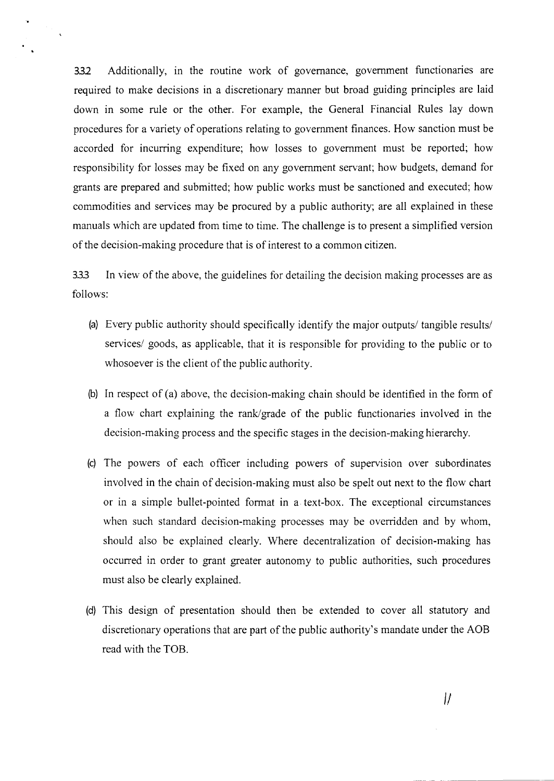332 Additionally, in the routine work of governance, government functionaries are required to make decisions in a discretionary manner but broad guiding principles are laid down in some rule or the other. For example, the General Financial Rules lay down procedures for a variety of operations relating to government finances. How sanction must be accorded for incurring expenditure; how losses to government must be reported; how responsibility for losses may be fixed on any government servant; how budgets, demand for grants are prepared and submitted; how public works must be sanctioned and executed; how commodities and services may be procured by a public authority; are all explained in these manuals which are updated from time to time. The challenge is to present a simplified version of the decision-making procedure that is of interest to a common citizen.

333 In view of the above, the guidelines for detailing the decision making processes are as follows:

- (a) Every public authority should specifically identify the major outputs/ tangible results/ services/ goods, as applicable, that it is responsible for providing to the public or to whosoever is the client of the public authority.
- (b) In respect of (a) above, the decision-making chain should be identified in the form of a flow chart explaining the rank/grade of the public functionaries involved in the decision-making process and the specific stages in the decision-making hierarchy.
- (c) The powers of each officer including powers of supervision over subordinates involved in the chain of decision-making must also be spelt out next to the flow chart or in a simple bullet-pointed format in a text-box. The exceptional circumstances when such standard decision-making processes may be overridden and by whom, should also be explained clearly. Where decentralization of decision-making has occurred in order to grant greater autonomy to public authorities, such procedures must also be clearly explained.
- (d) This design of presentation should then be extended to cover all statutory and discretionary operations that are part of the public authority's mandate under the AOB read with the TOB.

*1/*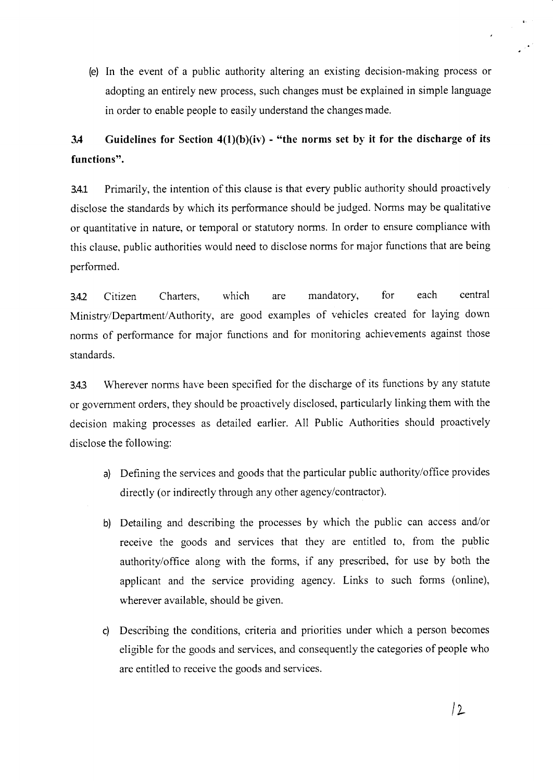(e) In the event of a public authority altering an existing decision-making process or adopting an entirely new process, such changes must be explained in simple language in order to enable people to easily understand the changes made.

# **3.4 Guidelines for Section 4(1)(b)(iv) - "the norms set by it for the discharge of its functions".**

3.4.1 Primarily, the intention of this clause is that every public authority should proactively disclose the standards by which its performance should be judged. Norms may be qualitative or quantitative in nature, or temporal or statutory norms. In order to ensure compliance with this clause, public authorities would need to disclose norms for major functions that are being performed.

3.42 Citizen Charters, which are mandatory, for each central Ministry/Department/Authority, are good examples of vehicles created for laying down norms of performance for major functions and for monitoring achievements against those standards.

3.4.3 Wherever norms have been specified for the discharge of its functions by any statute or government orders, they should be proactively disclosed, particularly linking them with the decision making processes as detailed earlier. All Public Authorities should proactively disclose the following:

- a) Defining the services and goods that the particular public authority/office provides directly (or indirectly through any other agency/contractor).
- b) Detailing and describing the processes by which the public can access and/or receive the goods and services that they are entitled to, from the public authority/office along with the forms, if any prescribed, for use by both the applicant and the service providing agency. Links to such forms (online), wherever available, should be given.
- c) Describing the conditions, criteria and priorities under which a person becomes eligible for the goods and services, and consequently the categories of people who are entitled to receive the goods and services.

 $\lambda$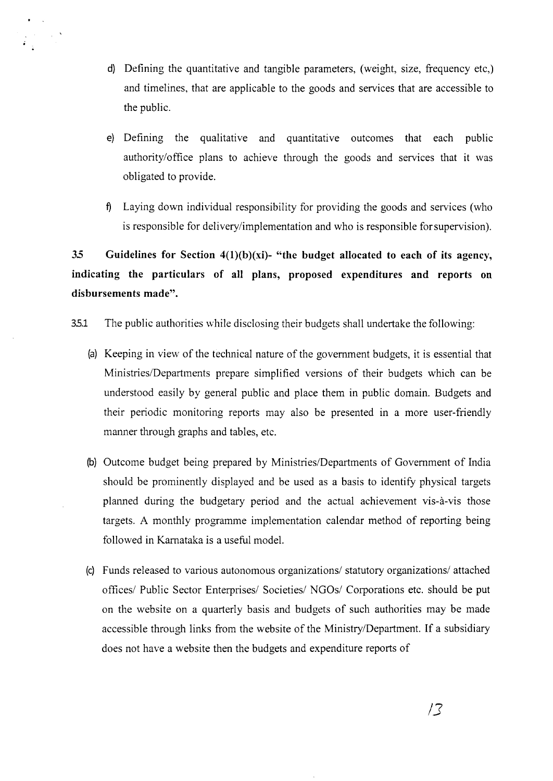d) Defining the quantitative and tangible parameters, (weight, size, frequency etc,) and timelines, that are applicable to the goods and services that are accessible to the public.

 $\mathcal{A}^{\text{max}}_{\text{max}}$ 

- e) Defining the qualitative and quantitative outcomes that each public authority/office plans to achieve through the goods and services that it was obligated to provide.
- <sup>1</sup> Laying down individual responsibility for providing the goods and services (who is responsible for delivery/implementation and who is responsible for supervision).

*35* **Guidelines for Section 4(1)(b)(xi)- "the budget allocated to each of its agency, indicating the particulars of all plans, proposed expenditures and reports on disbursements made".** 

35.1 The public authorities while disclosing their budgets shall undertake the following:

- (a) Keeping in view of the technical nature of the government budgets, it is essential that Ministries/Departments prepare simplified versions of their budgets which can be understood easily by general public and place them in public domain. Budgets and their periodic monitoring reports may also be presented in a more user-friendly manner through graphs and tables, etc.
- (b) Outcome budget being prepared by Ministries/Departments of Government of India should be prominently displayed and be used as a basis to identify physical targets planned during the budgetary period and the actual achievement vis-à-vis those targets. A monthly programme implementation calendar method of reporting being followed in Karnataka is a useful model.
- (c) Funds released to various autonomous organizations/ statutory organizations/ attached offices/ Public Sector Enterprises/ Societies/ NGOs/ Corporations etc. should be put on the website on a quarterly basis and budgets of such authorities may be made accessible through links from the website of the Ministry/Department. If a subsidiary does not have a website then the budgets and expenditure reports of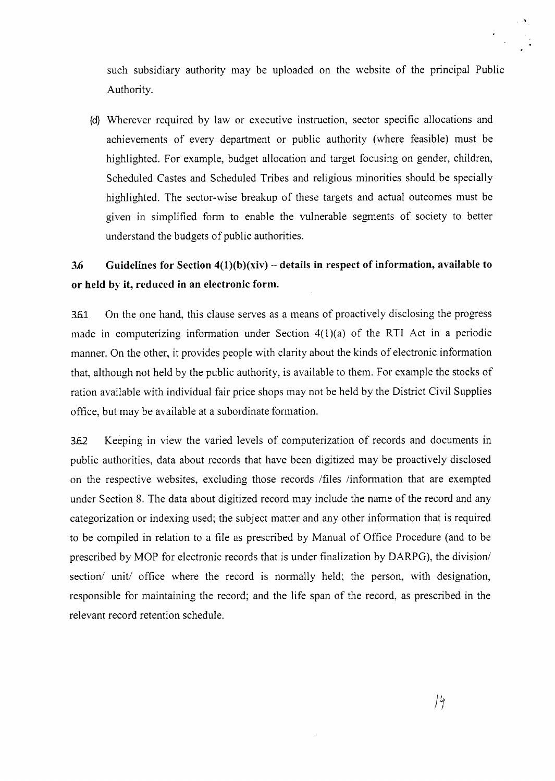such subsidiary authority may be uploaded on the website of the principal Public Authority.

(d) Wherever required by law or executive instruction, sector specific allocations and achievements of every department or public authority (where feasible) must be highlighted. For example, budget allocation and target focusing on gender, children, Scheduled Castes and Scheduled Tribes and religious minorities should be specially highlighted. The sector-wise breakup of these targets and actual outcomes must be given in simplified form to enable the vulnerable segments of society to better understand the budgets of public authorities.

# **3.6 Guidelines for Section 4(1)(b)(xiv)** — **details in respect of information, available to or held by it, reduced in an electronic form.**

3.6.1 On the one hand, this clause serves as a means of proactively disclosing the progress made in computerizing information under Section 4(l)(a) of the RTI Act in a periodic manner. On the other, it provides people with clarity about the kinds of electronic information that, although not held by the public authority, is available to them. For example the stocks of ration available with individual fair price shops may not be held by the District Civil Supplies office, but may be available at a subordinate formation.

3.6.2 Keeping in view the varied levels of computerization of records and documents in public authorities, data about records that have been digitized may be proactively disclosed on the respective websites, excluding those records /files /information that are exempted under Section 8. The data about digitized record may include the name of the record and any categorization or indexing used; the subject matter and any other information that is required to be compiled in relation to a file as prescribed by Manual of Office Procedure (and to be prescribed by MOP for electronic records that is under finalization by DARPG), the division/ section/ unit/ office where the record is normally held; the person, with designation, responsible for maintaining the record; and the life span of the record, as prescribed in the relevant record retention schedule.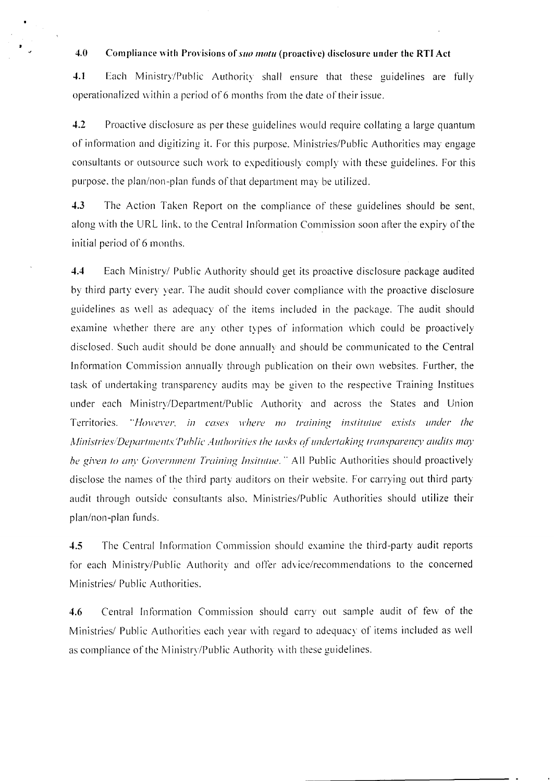#### 4.0 Compliance with Provisions of *suo motu* (proactive) disclosure under the RTI Act

**4.1** Each Ministry/Public Authority shall ensure that these guidelines are fully operationalized within a period of 6 months from the date of their issue.

4.2 Proactive disclosure as per these guidelines would require collating a large quantum of information and digitizing it. For this purpose. Ministries/Public Authorities may engage consultants or outsource such work to expeditiously comply with these guidelines. For this purpose, the plan/non-plan funds of that department may be utilized.

4.3 The Action Taken Report on the compliance of these guidelines should be sent, along with the URL link, to the Central Information Commission soon after the expiry of the initial period of 6 months.

4.4 Each Ministry/ Public Authority should get its proactive disclosure package audited by third party every year. The audit should cover compliance with the proactive disclosure guidelines as well as adequacy of the items included in the package. The audit should examine whether there are any other types of information which could be proactively disclosed. Such audit should be done annually and should be communicated to the Central In formation Commission annually through publication on their own websites. Further, the task of undertaking transparency audits may be given to the respective Training Institues under each Ministry/Department/Public Authority and across the States and Union Territories. "However, in cases where no training institutue exists under the Ministries/Departments/Public Authorities the tasks of undertaking transparency audits may be given to any Government Training Insitutue." All Public Authorities should proactively disclose the names of the third party auditors on their website. For carrying out third party audit through outside consultants also. Ministries/Public Authorities should utilize their plan/non-plan funds.

**4.5** The Central Information Commission should examine the third-party audit reports for each Ministry/Public Authority and offer advice/recommendations to the concerned Ministries/ Public Authorities.

4.6 Central Information Commission should carry out sample audit of few of the Ministries/ Public Authorities each year with regard to adequacy of items included as well as compliance of the Ministry/Public Authority with these guidelines.